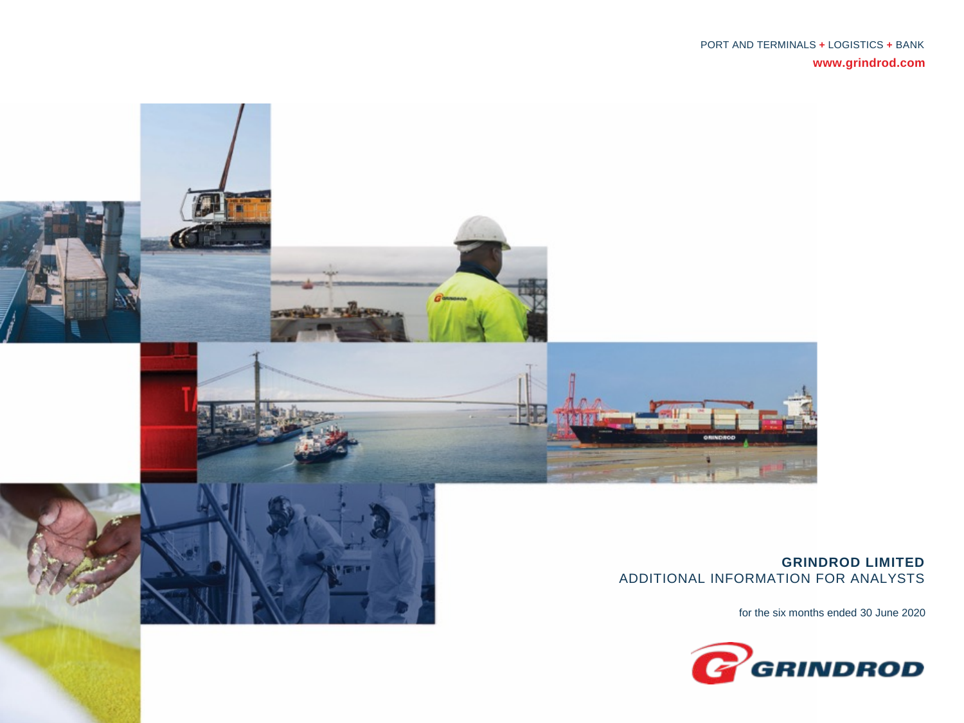

#### **GRINDROD LIMITED** ADDITIONAL INFORMATION FOR ANALYSTS

for the six months ended 30 June 2020

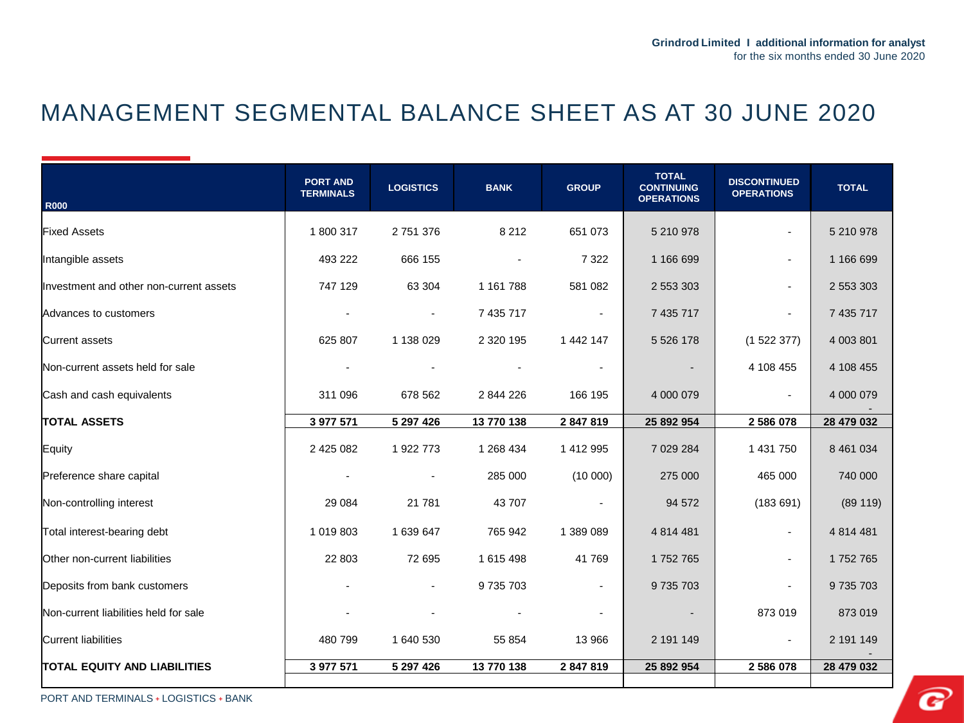### MANAGEMENT SEGMENTAL BALANCE SHEET AS AT 30 JUNE 2020

| <b>R000</b>                             | <b>PORT AND</b><br><b>TERMINALS</b> | <b>LOGISTICS</b> | <b>BANK</b>   | <b>GROUP</b>   | <b>TOTAL</b><br><b>CONTINUING</b><br><b>OPERATIONS</b> | <b>DISCONTINUED</b><br><b>OPERATIONS</b> | <b>TOTAL</b> |
|-----------------------------------------|-------------------------------------|------------------|---------------|----------------|--------------------------------------------------------|------------------------------------------|--------------|
| <b>Fixed Assets</b>                     | 1800317                             | 2 751 376        | 8 2 1 2       | 651 073        | 5 210 978                                              |                                          | 5 210 978    |
| Intangible assets                       | 493 222                             | 666 155          |               | 7 3 2 2        | 1 166 699                                              |                                          | 1 166 699    |
| Investment and other non-current assets | 747 129                             | 63 304           | 1 161 788     | 581 082        | 2 553 303                                              |                                          | 2 553 303    |
| Advances to customers                   |                                     | $\blacksquare$   | 7 435 717     | $\sim$         | 7 435 717                                              |                                          | 7 435 717    |
| Current assets                          | 625 807                             | 1 138 029        | 2 3 2 0 1 9 5 | 1 442 147      | 5 5 2 6 1 7 8                                          | (152237)                                 | 4 003 801    |
| Non-current assets held for sale        | $\blacksquare$                      |                  |               | $\sim$         | $\sim$                                                 | 4 108 455                                | 4 108 455    |
| Cash and cash equivalents               | 311 096                             | 678 562          | 2 844 226     | 166 195        | 4 000 079                                              | $\blacksquare$                           | 4 000 079    |
| <b>TOTAL ASSETS</b>                     | 3 977 571                           | 5 297 426        | 13 770 138    | 2 847 819      | 25 892 954                                             | 2586078                                  | 28 479 032   |
| Equity                                  | 2 425 082                           | 1 922 773        | 1 268 434     | 1 412 995      | 7 029 284                                              | 1 431 750                                | 8 461 034    |
| Preference share capital                | $\blacksquare$                      |                  | 285 000       | (10000)        | 275 000                                                | 465 000                                  | 740 000      |
| Non-controlling interest                | 29 0 84                             | 21 781           | 43 707        | $\sim$         | 94 572                                                 | (183691)                                 | (89119)      |
| Total interest-bearing debt             | 1 019 803                           | 1 639 647        | 765 942       | 1 389 089      | 4 8 14 4 8 1                                           |                                          | 4 8 14 4 8 1 |
| Other non-current liabilities           | 22 803                              | 72 695           | 1 615 498     | 41769          | 1752765                                                |                                          | 1752765      |
| Deposits from bank customers            |                                     |                  | 9735703       | $\sim$         | 9735703                                                |                                          | 9 735 703    |
| Non-current liabilities held for sale   |                                     |                  |               | $\blacksquare$ | $\overline{\phantom{a}}$                               | 873 019                                  | 873 019      |
| Current liabilities                     | 480 799                             | 1 640 530        | 55 854        | 13 966         | 2 191 149                                              | $\blacksquare$                           | 2 191 149    |
| <b>TOTAL EQUITY AND LIABILITIES</b>     | 3 977 571                           | 5 297 426        | 13 770 138    | 2 847 819      | 25 892 954                                             | 2586078                                  | 28 479 032   |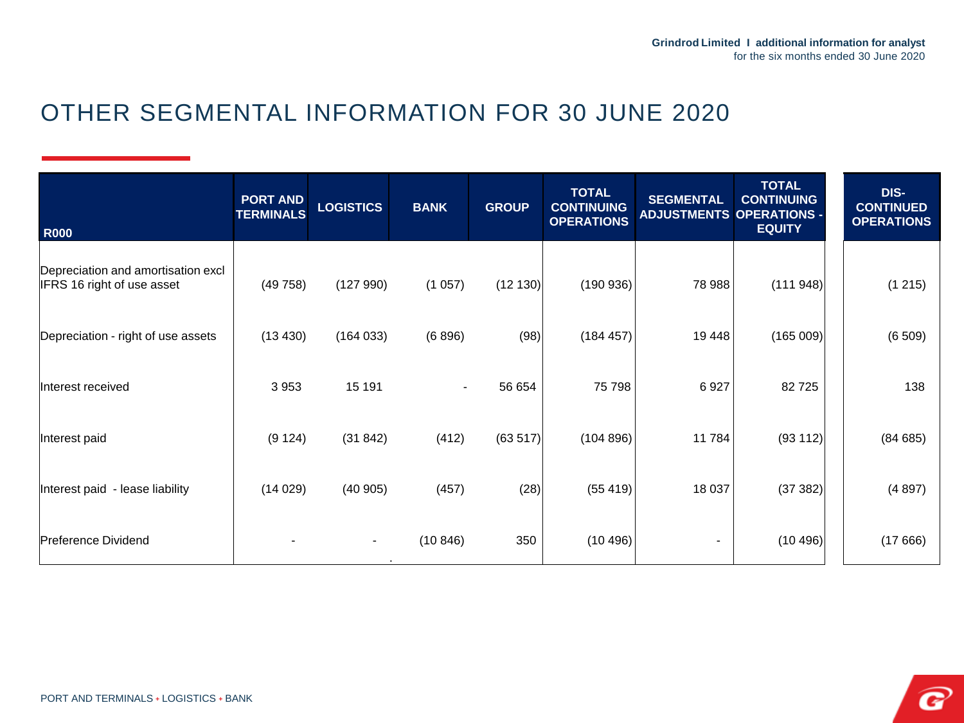# OTHER SEGMENTAL INFORMATION FOR 30 JUNE 2020

| <b>R000</b>                                                      | <b>PORT AND</b><br><b>TERMINALS</b> | <b>LOGISTICS</b> | <b>BANK</b>    | <b>GROUP</b> | <b>TOTAL</b><br><b>CONTINUING</b><br><b>OPERATIONS</b> | <b>SEGMENTAL</b><br><b>ADJUSTMENTS OPERATIONS -</b> | <b>TOTAL</b><br><b>CONTINUING</b><br><b>EQUITY</b> | DIS-<br><b>CONTINUED</b><br><b>OPERATIONS</b> |
|------------------------------------------------------------------|-------------------------------------|------------------|----------------|--------------|--------------------------------------------------------|-----------------------------------------------------|----------------------------------------------------|-----------------------------------------------|
| Depreciation and amortisation excl<br>IFRS 16 right of use asset | (49758)                             | (127990)         | (1057)         | (12 130)     | (190936)                                               | 78 988                                              | (111948)                                           | (1215)                                        |
| Depreciation - right of use assets                               | (13 430)                            | (164033)         | (6896)         | (98)         | (184 457)                                              | 19 4 48                                             | (165009)                                           | (6509)                                        |
| Interest received                                                | 3 9 5 3                             | 15 191           | $\blacksquare$ | 56 654       | 75 798                                                 | 6927                                                | 82725                                              | 138                                           |
| Interest paid                                                    | (9 124)                             | (31842)          | (412)          | (63517)      | (104 896)                                              | 11784                                               | (93 112)                                           | (84685)                                       |
| Interest paid - lease liability                                  | (14029)                             | (40905)          | (457)          | (28)         | (55419)                                                | 18 037                                              | (37382)                                            | (4897)                                        |
| Preference Dividend                                              |                                     | $\sim$           | (10846)        | 350          | (10496)                                                | $\overline{\phantom{a}}$                            | (10496)                                            | (17666)                                       |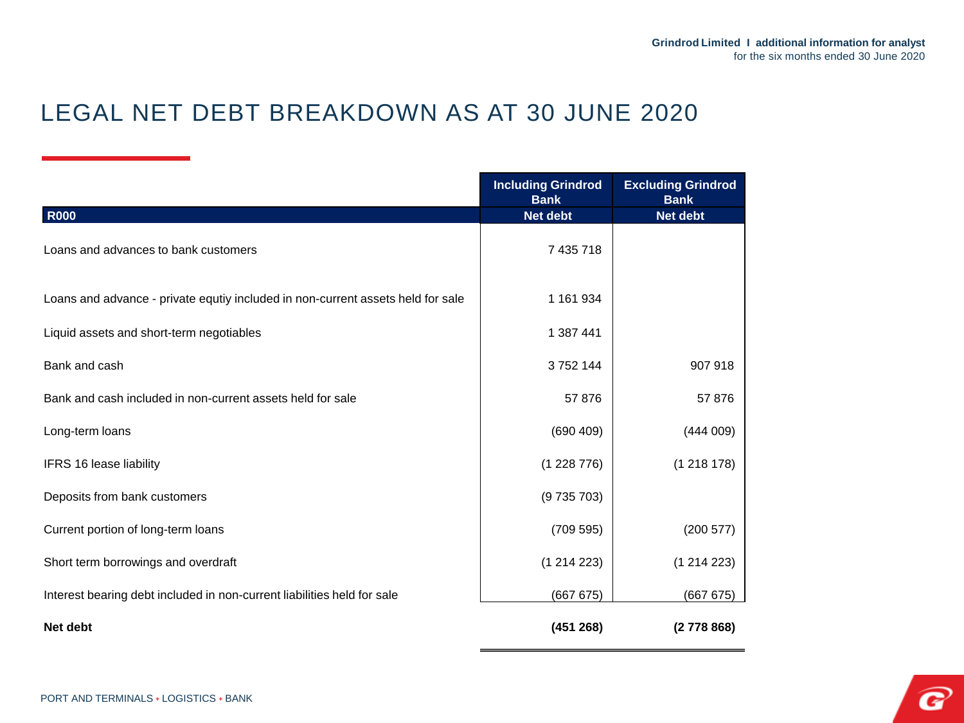# LEGAL NET DEBT BREAKDOWN AS AT 30 JUNE 2020

|                                                                                 | <b>Including Grindrod</b><br><b>Bank</b> | <b>Excluding Grindrod</b><br><b>Bank</b> |
|---------------------------------------------------------------------------------|------------------------------------------|------------------------------------------|
| <b>R000</b>                                                                     | <b>Net debt</b>                          | <b>Net debt</b>                          |
| Loans and advances to bank customers                                            | 7 435 718                                |                                          |
| Loans and advance - private equtiy included in non-current assets held for sale | 1 161 934                                |                                          |
| Liquid assets and short-term negotiables                                        | 1 387 441                                |                                          |
| Bank and cash                                                                   | 3752144                                  | 907 918                                  |
| Bank and cash included in non-current assets held for sale                      | 57876                                    | 57876                                    |
| Long-term loans                                                                 | (690 409)                                | (444009)                                 |
| IFRS 16 lease liability                                                         | (1228776)                                | (1218178)                                |
| Deposits from bank customers                                                    | (9735703)                                |                                          |
| Current portion of long-term loans                                              | (709595)                                 | (200 577)                                |
| Short term borrowings and overdraft                                             | (1214223)                                | (1214223)                                |
| Interest bearing debt included in non-current liabilities held for sale         | (667 675)                                | (66767)                                  |
| Net debt                                                                        | (451 268)                                | (2778868)                                |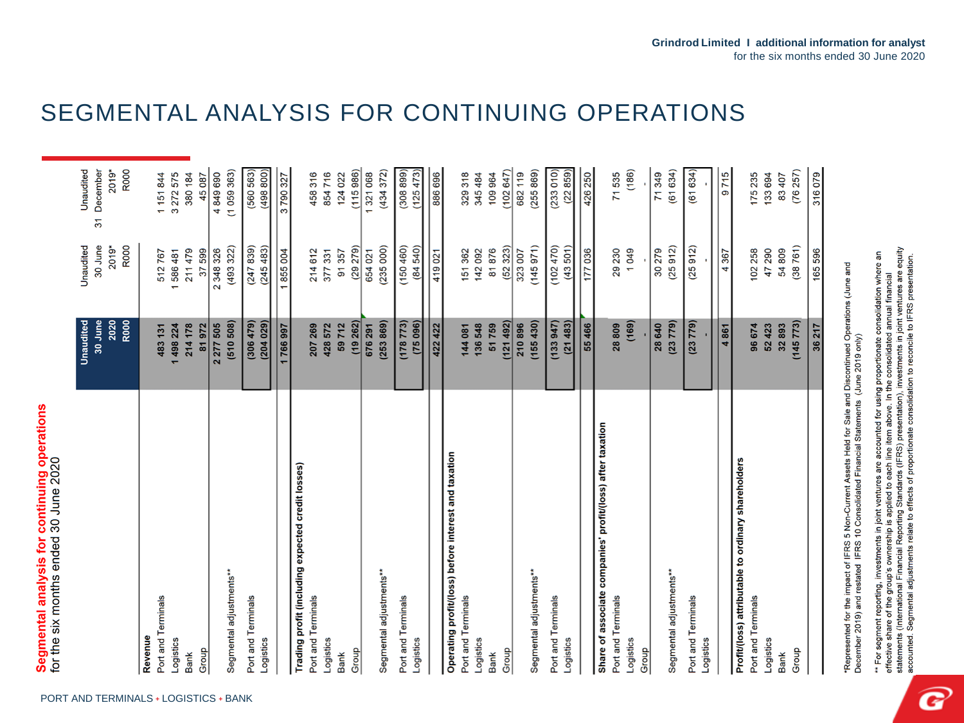|                                                            | Unaudited      | Unaudited       | Unaudited        |
|------------------------------------------------------------|----------------|-----------------|------------------|
|                                                            | 30 June        | 30 June         | December<br>51   |
|                                                            | 2020           | 2019*           | 2019*            |
|                                                            | R000           | R000            | R000             |
| Revenue                                                    |                |                 |                  |
| Port and Terminals                                         | 483 131        | 512767          | 1151844          |
| <b>ogistics</b>                                            | 1498224        | 1586481         | 3 272 575        |
| <b>Bank</b>                                                | 214 178        | 211479          | 380 184          |
| Group                                                      | 81972          | 37599           | 45087            |
|                                                            | 2 277 505      | 2 348 326       | 4849690          |
| Segmental adjustments**                                    | (510 508)      | (493 322)       | (1059363)        |
| Port and Terminals                                         | (306479)       | (247839)        | (560 563)        |
| -ogistics                                                  | (204029)       | (245483)        | (498 800)        |
|                                                            | 1766997        | 1855004         | 3790327          |
| Trading profit (including expected credit losses)          |                |                 |                  |
| Port and Terminals                                         | 207 269        | 214612          | 458316           |
| -ogistics                                                  | 428 572        | 377 331         | 854716           |
| <b>Bank</b>                                                | 59712          | 91357           | 124 022          |
| Group                                                      | (19 262)       | $(29\ 279)$     | (115986)         |
|                                                            | 676 291        | 654 021         | 1321068          |
| Segmental adjustments**                                    | (253 869)      | (235 000)       | (434372)         |
| Port and Terminals                                         | (178773)       | (150 460)       | (308 899)        |
| -ogistics                                                  | (75096)        | (84, 540)       | (125473)         |
|                                                            | 422 422        | 419021          | 886 696          |
| Operating profit/(loss) before interest and taxation       |                |                 |                  |
| Port and Terminals                                         | 144 081        | 151 362         | 329 318          |
| -ogistics                                                  | 136548         | 142092          | 345 484          |
| <b>Bank</b>                                                | 51759          | 81876           | 109 964          |
| Group                                                      | (121492)       | (52323)         | (102647)         |
|                                                            | 210896         | 323 007         | 682 119          |
| Segmental adjustments**                                    | (155430)       | (145971)        | (255 869)        |
| Port and Terminals                                         | (133947)       | (102470)        | (233 010)        |
| -ogistics                                                  | (21483)        | (43, 501)       | (22 859)         |
|                                                            | 55 466         | 177 036         | 426 250          |
| Share of associate companies' profit/(loss) after taxation |                |                 |                  |
| Port and Terminals                                         | 28809          | 29 230          | 71535            |
| -ogistics                                                  | (169)          | 1049            | (186)            |
| Group                                                      | 28 640         | 30279           | 71349            |
| Segmental adjustments**                                    | (23779)        | (25912)         | (61634)          |
| Port and Terminals                                         | (23 779)       | (25912)         | (61634)          |
| -ogistics                                                  |                |                 |                  |
|                                                            |                |                 |                  |
|                                                            | 4861           | 4 367           | 9715             |
| Profit/(loss) attributable to ordinary shareholders        |                |                 |                  |
| Port and Terminals                                         | 96 674         | 102 258         | 175235           |
| -ogistics                                                  | 32893<br>52423 | 47 290<br>54809 | 133 694<br>83407 |
| <b>Group</b><br><b>Bank</b>                                | (145 773)      | (38761)         | (76257)          |
|                                                            |                |                 |                  |

## SEGMENTAL ANALYSIS FOR CONTINUING OPERATIONS

Represented for the impact of IFRS 5 Non-Current Assets Held for Sale and Discontinued Operations (June and<br>December 2019) and restated IFRS 10 Consolidated Financial Statements (June 2019 only) December

effective share of the group's ownership is applied to each line item above. In the consolidated annual financial<br>statements (International Financial Reporting Standards (IFRS) presentation), investments in joint ventures accounted for using proportionate consolidation where an<br>line item above. In the consolidated annual financial \*\* For segment reporting, investments in joint ventures are accounted for using

316079

165 596

36 217